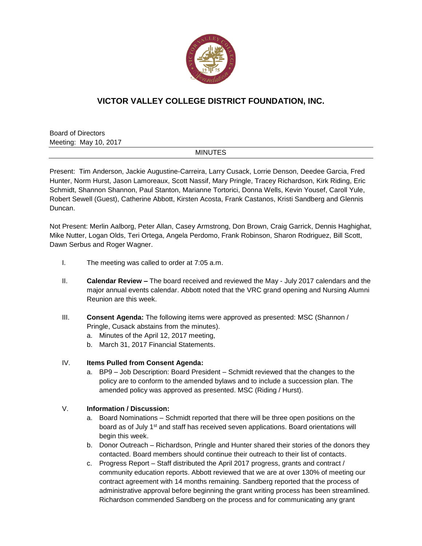

# **VICTOR VALLEY COLLEGE DISTRICT FOUNDATION, INC.**

Board of Directors Meeting: May 10, 2017

### **MINUTES**

Present: Tim Anderson, Jackie Augustine-Carreira, Larry Cusack, Lorrie Denson, Deedee Garcia, Fred Hunter, Norm Hurst, Jason Lamoreaux, Scott Nassif, Mary Pringle, Tracey Richardson, Kirk Riding, Eric Schmidt, Shannon Shannon, Paul Stanton, Marianne Tortorici, Donna Wells, Kevin Yousef, Caroll Yule, Robert Sewell (Guest), Catherine Abbott, Kirsten Acosta, Frank Castanos, Kristi Sandberg and Glennis Duncan.

Not Present: Merlin Aalborg, Peter Allan, Casey Armstrong, Don Brown, Craig Garrick, Dennis Haghighat, Mike Nutter, Logan Olds, Teri Ortega, Angela Perdomo, Frank Robinson, Sharon Rodriguez, Bill Scott, Dawn Serbus and Roger Wagner.

- I. The meeting was called to order at 7:05 a.m.
- II. **Calendar Review –** The board received and reviewed the May July 2017 calendars and the major annual events calendar. Abbott noted that the VRC grand opening and Nursing Alumni Reunion are this week.
- III. **Consent Agenda:** The following items were approved as presented: MSC (Shannon / Pringle, Cusack abstains from the minutes).
	- a. Minutes of the April 12, 2017 meeting,
	- b. March 31, 2017 Financial Statements.

### IV. **Items Pulled from Consent Agenda:**

a. BP9 – Job Description: Board President – Schmidt reviewed that the changes to the policy are to conform to the amended bylaws and to include a succession plan. The amended policy was approved as presented. MSC (Riding / Hurst).

### V. **Information / Discussion:**

- a. Board Nominations Schmidt reported that there will be three open positions on the board as of July 1<sup>st</sup> and staff has received seven applications. Board orientations will begin this week.
- b. Donor Outreach Richardson, Pringle and Hunter shared their stories of the donors they contacted. Board members should continue their outreach to their list of contacts.
- c. Progress Report Staff distributed the April 2017 progress, grants and contract / community education reports. Abbott reviewed that we are at over 130% of meeting our contract agreement with 14 months remaining. Sandberg reported that the process of administrative approval before beginning the grant writing process has been streamlined. Richardson commended Sandberg on the process and for communicating any grant